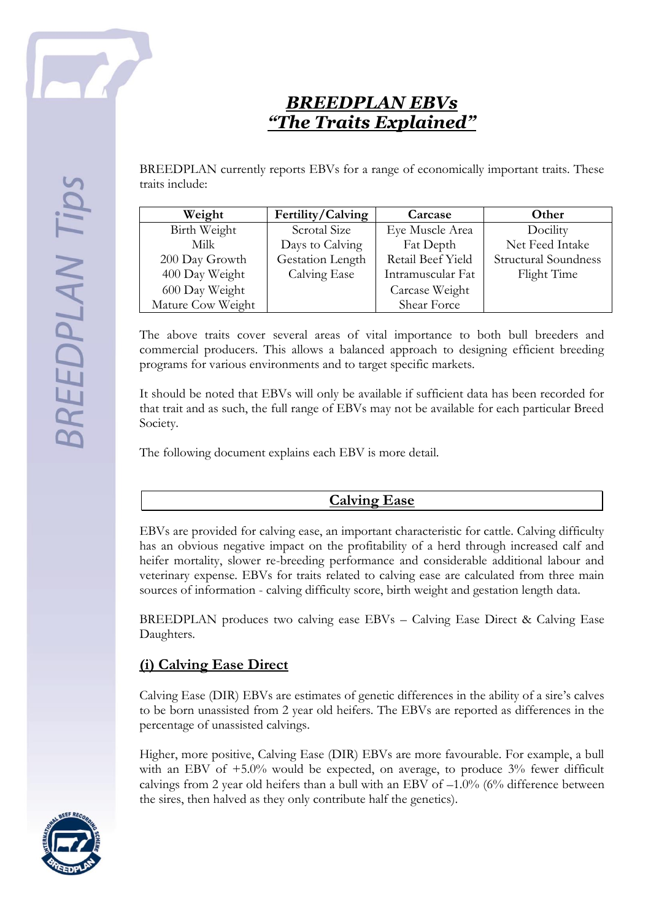

# *BREEDPLAN EBVs "The Traits Explained"*

BREEDPLAN currently reports EBVs for a range of economically important traits. These traits include:

| Weight            | Fertility/Calving | Carcase           | Other                       |
|-------------------|-------------------|-------------------|-----------------------------|
| Birth Weight      | Scrotal Size      | Eye Muscle Area   | Docility                    |
| Milk              | Days to Calving   | Fat Depth         | Net Feed Intake             |
| 200 Day Growth    | Gestation Length  | Retail Beef Yield | <b>Structural Soundness</b> |
| 400 Day Weight    | Calving Ease      | Intramuscular Fat | Flight Time                 |
| 600 Day Weight    |                   | Carcase Weight    |                             |
| Mature Cow Weight |                   | Shear Force       |                             |

The above traits cover several areas of vital importance to both bull breeders and commercial producers. This allows a balanced approach to designing efficient breeding programs for various environments and to target specific markets.

It should be noted that EBVs will only be available if sufficient data has been recorded for that trait and as such, the full range of EBVs may not be available for each particular Breed Society.

The following document explains each EBV is more detail.

#### **Calving Ease**

EBVs are provided for calving ease, an important characteristic for cattle. Calving difficulty has an obvious negative impact on the profitability of a herd through increased calf and heifer mortality, slower re-breeding performance and considerable additional labour and veterinary expense. EBVs for traits related to calving ease are calculated from three main sources of information - calving difficulty score, birth weight and gestation length data.

BREEDPLAN produces two calving ease EBVs – Calving Ease Direct & Calving Ease Daughters.

# **(i) Calving Ease Direct**

Calving Ease (DIR) EBVs are estimates of genetic differences in the ability of a sire's calves to be born unassisted from 2 year old heifers. The EBVs are reported as differences in the percentage of unassisted calvings.

Higher, more positive, Calving Ease (DIR) EBVs are more favourable. For example, a bull with an EBV of +5.0% would be expected, on average, to produce 3% fewer difficult calvings from 2 year old heifers than a bull with an EBV of  $-1.0\%$  (6% difference between the sires, then halved as they only contribute half the genetics).

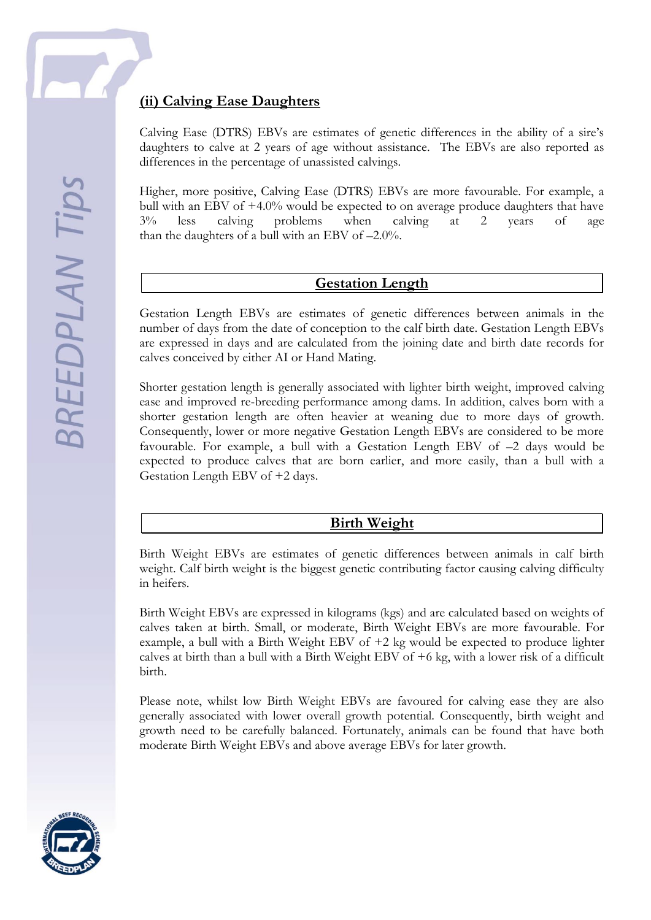

### **(ii) Calving Ease Daughters**

Calving Ease (DTRS) EBVs are estimates of genetic differences in the ability of a sire's daughters to calve at 2 years of age without assistance. The EBVs are also reported as differences in the percentage of unassisted calvings.

Higher, more positive, Calving Ease (DTRS) EBVs are more favourable. For example, a bull with an EBV of +4.0% would be expected to on average produce daughters that have 3% less calving problems when calving at 2 years of age than the daughters of a bull with an EBV of –2.0%.

#### **Gestation Length**

Gestation Length EBVs are estimates of genetic differences between animals in the number of days from the date of conception to the calf birth date. Gestation Length EBVs are expressed in days and are calculated from the joining date and birth date records for calves conceived by either AI or Hand Mating.

Shorter gestation length is generally associated with lighter birth weight, improved calving ease and improved re-breeding performance among dams. In addition, calves born with a shorter gestation length are often heavier at weaning due to more days of growth. Consequently, lower or more negative Gestation Length EBVs are considered to be more favourable. For example, a bull with a Gestation Length EBV of –2 days would be expected to produce calves that are born earlier, and more easily, than a bull with a Gestation Length EBV of +2 days.

#### **Birth Weight**

Birth Weight EBVs are estimates of genetic differences between animals in calf birth weight. Calf birth weight is the biggest genetic contributing factor causing calving difficulty in heifers.

Birth Weight EBVs are expressed in kilograms (kgs) and are calculated based on weights of calves taken at birth. Small, or moderate, Birth Weight EBVs are more favourable. For example, a bull with a Birth Weight EBV of +2 kg would be expected to produce lighter calves at birth than a bull with a Birth Weight EBV of +6 kg, with a lower risk of a difficult birth.

Please note, whilst low Birth Weight EBVs are favoured for calving ease they are also generally associated with lower overall growth potential. Consequently, birth weight and growth need to be carefully balanced. Fortunately, animals can be found that have both moderate Birth Weight EBVs and above average EBVs for later growth.

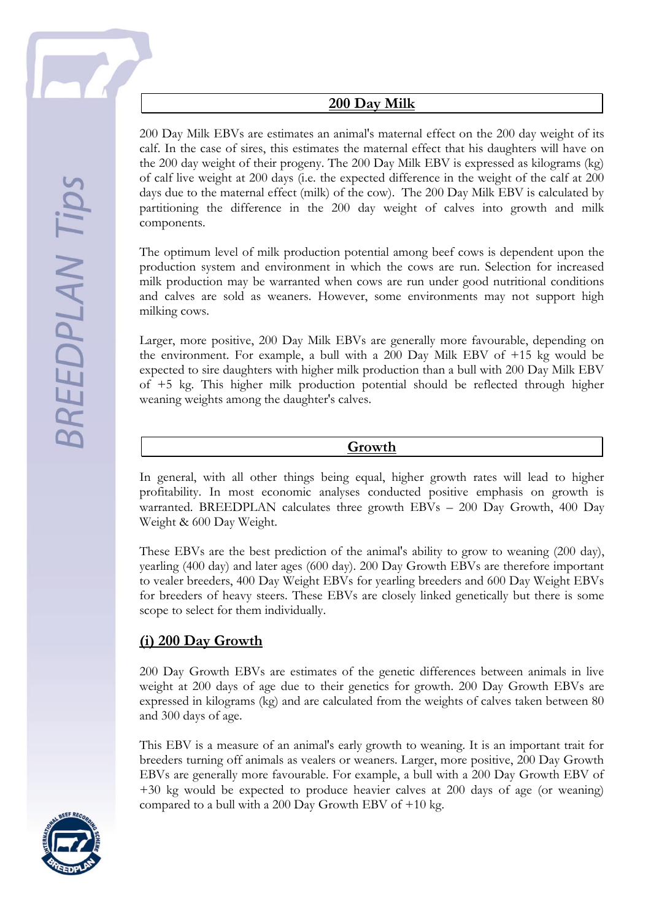

### **200 Day Milk**

200 Day Milk EBVs are estimates an animal's maternal effect on the 200 day weight of its calf. In the case of sires, this estimates the maternal effect that his daughters will have on the 200 day weight of their progeny. The 200 Day Milk EBV is expressed as kilograms (kg) of calf live weight at 200 days (i.e. the expected difference in the weight of the calf at 200 days due to the maternal effect (milk) of the cow). The 200 Day Milk EBV is calculated by partitioning the difference in the 200 day weight of calves into growth and milk components.

The optimum level of milk production potential among beef cows is dependent upon the production system and environment in which the cows are run. Selection for increased milk production may be warranted when cows are run under good nutritional conditions and calves are sold as weaners. However, some environments may not support high milking cows.

Larger, more positive, 200 Day Milk EBVs are generally more favourable, depending on the environment. For example, a bull with a 200 Day Milk EBV of +15 kg would be expected to sire daughters with higher milk production than a bull with 200 Day Milk EBV of +5 kg. This higher milk production potential should be reflected through higher weaning weights among the daughter's calves.

#### **Growth**

In general, with all other things being equal, higher growth rates will lead to higher profitability. In most economic analyses conducted positive emphasis on growth is warranted. BREEDPLAN calculates three growth EBVs – 200 Day Growth, 400 Day Weight & 600 Day Weight.

These EBVs are the best prediction of the animal's ability to grow to weaning (200 day), yearling (400 day) and later ages (600 day). 200 Day Growth EBVs are therefore important to vealer breeders, 400 Day Weight EBVs for yearling breeders and 600 Day Weight EBVs for breeders of heavy steers. These EBVs are closely linked genetically but there is some scope to select for them individually.

#### **(i) 200 Day Growth**

200 Day Growth EBVs are estimates of the genetic differences between animals in live weight at 200 days of age due to their genetics for growth. 200 Day Growth EBVs are expressed in kilograms (kg) and are calculated from the weights of calves taken between 80 and 300 days of age.

This EBV is a measure of an animal's early growth to weaning. It is an important trait for breeders turning off animals as vealers or weaners. Larger, more positive, 200 Day Growth EBVs are generally more favourable. For example, a bull with a 200 Day Growth EBV of +30 kg would be expected to produce heavier calves at 200 days of age (or weaning) compared to a bull with a 200 Day Growth EBV of  $+10$  kg.

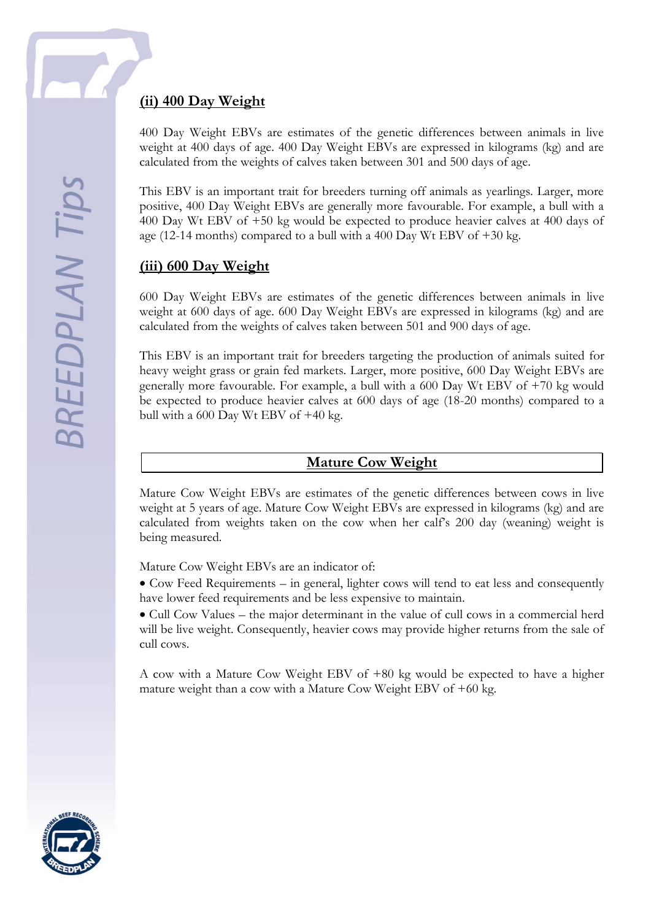

### **(ii) 400 Day Weight**

400 Day Weight EBVs are estimates of the genetic differences between animals in live weight at 400 days of age. 400 Day Weight EBVs are expressed in kilograms (kg) and are calculated from the weights of calves taken between 301 and 500 days of age.

This EBV is an important trait for breeders turning off animals as yearlings. Larger, more positive, 400 Day Weight EBVs are generally more favourable. For example, a bull with a 400 Day Wt EBV of +50 kg would be expected to produce heavier calves at 400 days of age (12-14 months) compared to a bull with a 400 Day Wt EBV of  $+30$  kg.

# **(iii) 600 Day Weight**

600 Day Weight EBVs are estimates of the genetic differences between animals in live weight at 600 days of age. 600 Day Weight EBVs are expressed in kilograms (kg) and are calculated from the weights of calves taken between 501 and 900 days of age.

This EBV is an important trait for breeders targeting the production of animals suited for heavy weight grass or grain fed markets. Larger, more positive, 600 Day Weight EBVs are generally more favourable. For example, a bull with a 600 Day Wt EBV of +70 kg would be expected to produce heavier calves at 600 days of age (18-20 months) compared to a bull with a 600 Day Wt EBV of +40 kg.

#### **Mature Cow Weight**

Mature Cow Weight EBVs are estimates of the genetic differences between cows in live weight at 5 years of age. Mature Cow Weight EBVs are expressed in kilograms (kg) and are calculated from weights taken on the cow when her calf's 200 day (weaning) weight is being measured.

Mature Cow Weight EBVs are an indicator of:

• Cow Feed Requirements – in general, lighter cows will tend to eat less and consequently have lower feed requirements and be less expensive to maintain.

 Cull Cow Values – the major determinant in the value of cull cows in a commercial herd will be live weight. Consequently, heavier cows may provide higher returns from the sale of cull cows.

A cow with a Mature Cow Weight EBV of +80 kg would be expected to have a higher mature weight than a cow with a Mature Cow Weight EBV of +60 kg.

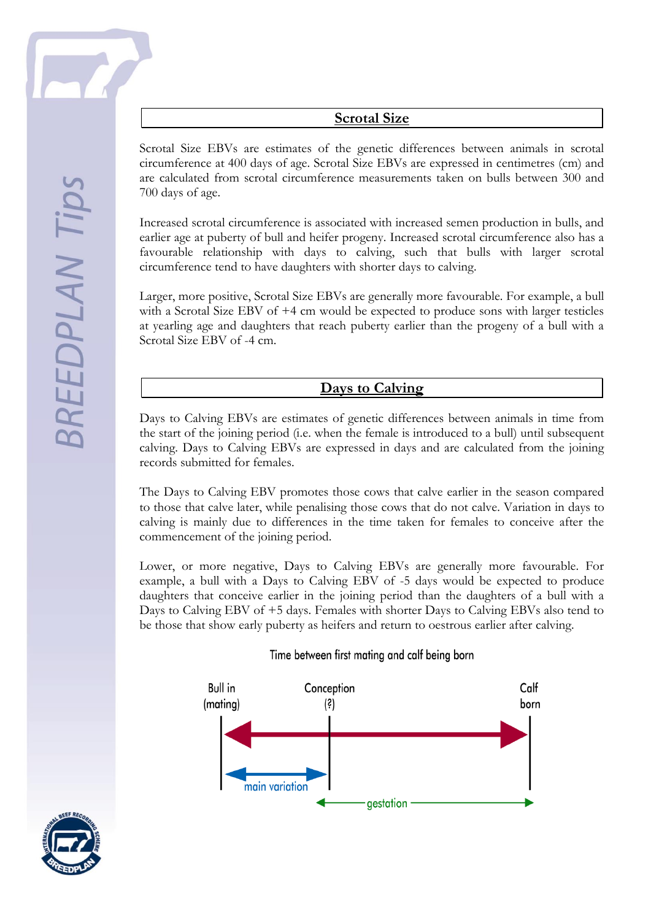Scrotal Size EBVs are estimates of the genetic differences between animals in scrotal circumference at 400 days of age. Scrotal Size EBVs are expressed in centimetres (cm) and are calculated from scrotal circumference measurements taken on bulls between 300 and 700 days of age.

Increased scrotal circumference is associated with increased semen production in bulls, and earlier age at puberty of bull and heifer progeny. Increased scrotal circumference also has a favourable relationship with days to calving, such that bulls with larger scrotal circumference tend to have daughters with shorter days to calving.

Larger, more positive, Scrotal Size EBVs are generally more favourable. For example, a bull with a Scrotal Size EBV of +4 cm would be expected to produce sons with larger testicles at yearling age and daughters that reach puberty earlier than the progeny of a bull with a Scrotal Size EBV of -4 cm.

**Days to Calving**

Days to Calving EBVs are estimates of genetic differences between animals in time from the start of the joining period (i.e. when the female is introduced to a bull) until subsequent calving. Days to Calving EBVs are expressed in days and are calculated from the joining records submitted for females.

The Days to Calving EBV promotes those cows that calve earlier in the season compared to those that calve later, while penalising those cows that do not calve. Variation in days to calving is mainly due to differences in the time taken for females to conceive after the commencement of the joining period.

Lower, or more negative, Days to Calving EBVs are generally more favourable. For example, a bull with a Days to Calving EBV of -5 days would be expected to produce daughters that conceive earlier in the joining period than the daughters of a bull with a Days to Calving EBV of +5 days. Females with shorter Days to Calving EBVs also tend to be those that show early puberty as heifers and return to oestrous earlier after calving.

#### Time between first mating and calf being born



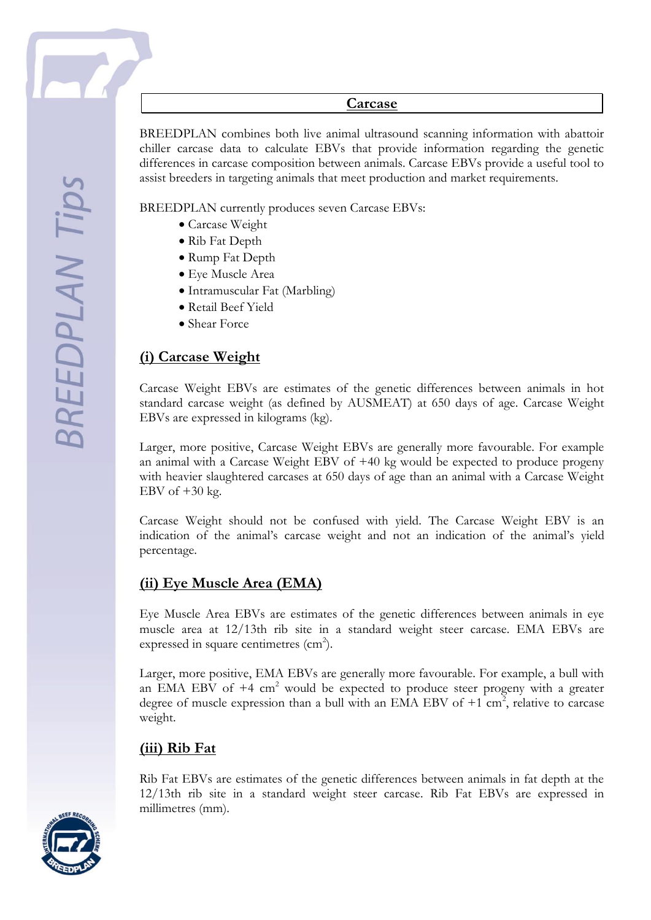

#### **Carcase**

BREEDPLAN combines both live animal ultrasound scanning information with abattoir chiller carcase data to calculate EBVs that provide information regarding the genetic differences in carcase composition between animals. Carcase EBVs provide a useful tool to assist breeders in targeting animals that meet production and market requirements.

BREEDPLAN currently produces seven Carcase EBVs:

- Carcase Weight
- Rib Fat Depth
- Rump Fat Depth
- Eye Muscle Area
- Intramuscular Fat (Marbling)
- Retail Beef Yield
- Shear Force

### **(i) Carcase Weight**

Carcase Weight EBVs are estimates of the genetic differences between animals in hot standard carcase weight (as defined by AUSMEAT) at 650 days of age. Carcase Weight EBVs are expressed in kilograms (kg).

Larger, more positive, Carcase Weight EBVs are generally more favourable. For example an animal with a Carcase Weight EBV of +40 kg would be expected to produce progeny with heavier slaughtered carcases at 650 days of age than an animal with a Carcase Weight EBV of  $+30$  kg.

Carcase Weight should not be confused with yield. The Carcase Weight EBV is an indication of the animal's carcase weight and not an indication of the animal's yield percentage.

#### **(ii) Eye Muscle Area (EMA)**

Eye Muscle Area EBVs are estimates of the genetic differences between animals in eye muscle area at 12/13th rib site in a standard weight steer carcase. EMA EBVs are expressed in square centimetres  $(cm<sup>2</sup>)$ .

Larger, more positive, EMA EBVs are generally more favourable. For example, a bull with an EMA EBV of  $+4$  cm<sup>2</sup> would be expected to produce steer progeny with a greater degree of muscle expression than a bull with an EMA EBV of  $+1$  cm<sup>2</sup>, relative to carcase weight.

#### **(iii) Rib Fat**

Rib Fat EBVs are estimates of the genetic differences between animals in fat depth at the 12/13th rib site in a standard weight steer carcase. Rib Fat EBVs are expressed in millimetres (mm).

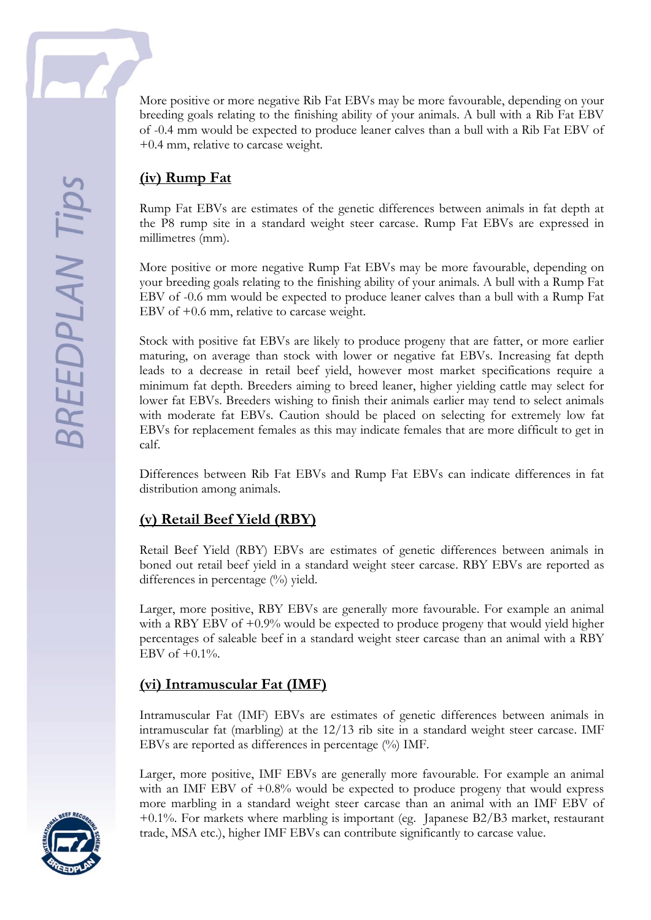

More positive or more negative Rib Fat EBVs may be more favourable, depending on your breeding goals relating to the finishing ability of your animals. A bull with a Rib Fat EBV of -0.4 mm would be expected to produce leaner calves than a bull with a Rib Fat EBV of +0.4 mm, relative to carcase weight.

### **(iv) Rump Fat**

Rump Fat EBVs are estimates of the genetic differences between animals in fat depth at the P8 rump site in a standard weight steer carcase. Rump Fat EBVs are expressed in millimetres (mm).

More positive or more negative Rump Fat EBVs may be more favourable, depending on your breeding goals relating to the finishing ability of your animals. A bull with a Rump Fat EBV of -0.6 mm would be expected to produce leaner calves than a bull with a Rump Fat EBV of +0.6 mm, relative to carcase weight.

Stock with positive fat EBVs are likely to produce progeny that are fatter, or more earlier maturing, on average than stock with lower or negative fat EBVs. Increasing fat depth leads to a decrease in retail beef yield, however most market specifications require a minimum fat depth. Breeders aiming to breed leaner, higher yielding cattle may select for lower fat EBVs. Breeders wishing to finish their animals earlier may tend to select animals with moderate fat EBVs. Caution should be placed on selecting for extremely low fat EBVs for replacement females as this may indicate females that are more difficult to get in calf.

Differences between Rib Fat EBVs and Rump Fat EBVs can indicate differences in fat distribution among animals.

# **(v) Retail Beef Yield (RBY)**

Retail Beef Yield (RBY) EBVs are estimates of genetic differences between animals in boned out retail beef yield in a standard weight steer carcase. RBY EBVs are reported as differences in percentage  $(\%)$  yield.

Larger, more positive, RBY EBVs are generally more favourable. For example an animal with a RBY EBV of  $+0.9\%$  would be expected to produce progeny that would yield higher percentages of saleable beef in a standard weight steer carcase than an animal with a RBY EBV of  $+0.1\%$ .

#### **(vi) Intramuscular Fat (IMF)**

Intramuscular Fat (IMF) EBVs are estimates of genetic differences between animals in intramuscular fat (marbling) at the 12/13 rib site in a standard weight steer carcase. IMF EBVs are reported as differences in percentage (%) IMF.

Larger, more positive, IMF EBVs are generally more favourable. For example an animal with an IMF EBV of  $+0.8\%$  would be expected to produce progeny that would express more marbling in a standard weight steer carcase than an animal with an IMF EBV of +0.1%. For markets where marbling is important (eg. Japanese B2/B3 market, restaurant trade, MSA etc.), higher IMF EBVs can contribute significantly to carcase value.

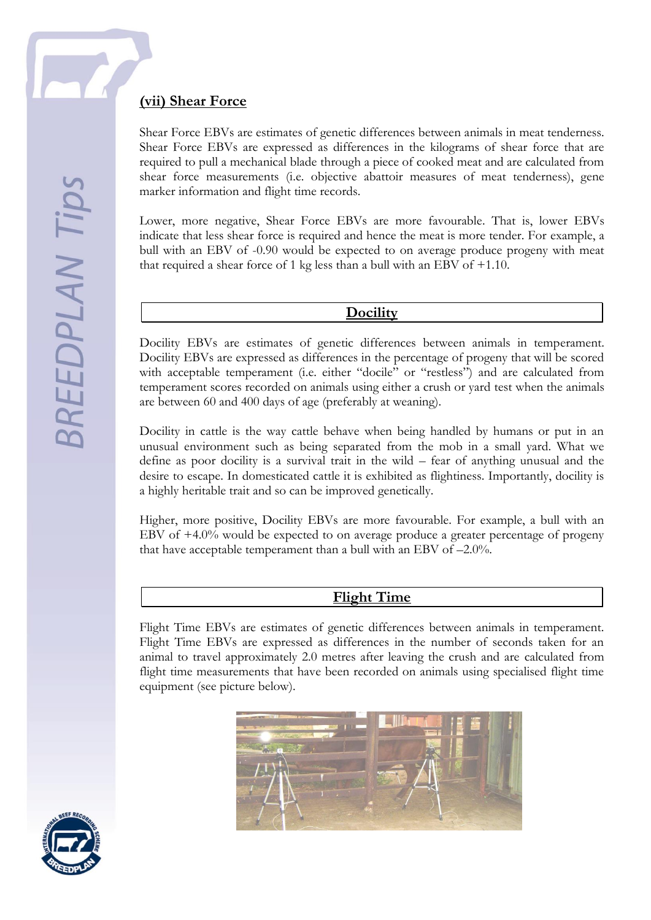**BREEDPLAN Tips** 

### **(vii) Shear Force**

Shear Force EBVs are estimates of genetic differences between animals in meat tenderness. Shear Force EBVs are expressed as differences in the kilograms of shear force that are required to pull a mechanical blade through a piece of cooked meat and are calculated from shear force measurements (i.e. objective abattoir measures of meat tenderness), gene marker information and flight time records.

Lower, more negative, Shear Force EBVs are more favourable. That is, lower EBVs indicate that less shear force is required and hence the meat is more tender. For example, a bull with an EBV of -0.90 would be expected to on average produce progeny with meat that required a shear force of 1 kg less than a bull with an EBV of +1.10.

#### **Docility**

Docility EBVs are estimates of genetic differences between animals in temperament. Docility EBVs are expressed as differences in the percentage of progeny that will be scored with acceptable temperament (i.e. either "docile" or "restless") and are calculated from temperament scores recorded on animals using either a crush or yard test when the animals are between 60 and 400 days of age (preferably at weaning).

Docility in cattle is the way cattle behave when being handled by humans or put in an unusual environment such as being separated from the mob in a small yard. What we define as poor docility is a survival trait in the wild – fear of anything unusual and the desire to escape. In domesticated cattle it is exhibited as flightiness. Importantly, docility is a highly heritable trait and so can be improved genetically.

Higher, more positive, Docility EBVs are more favourable. For example, a bull with an EBV of +4.0% would be expected to on average produce a greater percentage of progeny that have acceptable temperament than a bull with an EBV of –2.0%.

#### **Flight Time**

Flight Time EBVs are estimates of genetic differences between animals in temperament. Flight Time EBVs are expressed as differences in the number of seconds taken for an animal to travel approximately 2.0 metres after leaving the crush and are calculated from flight time measurements that have been recorded on animals using specialised flight time equipment (see picture below).



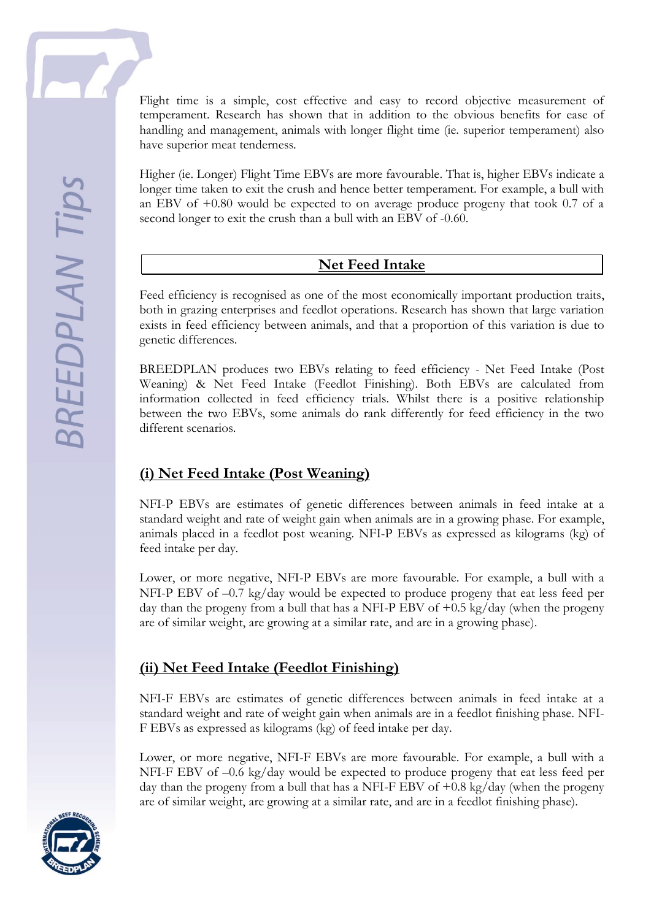Flight time is a simple, cost effective and easy to record objective measurement of temperament. Research has shown that in addition to the obvious benefits for ease of handling and management, animals with longer flight time (ie. superior temperament) also have superior meat tenderness.

Higher (ie. Longer) Flight Time EBVs are more favourable. That is, higher EBVs indicate a longer time taken to exit the crush and hence better temperament. For example, a bull with an EBV of  $+0.80$  would be expected to on average produce progeny that took 0.7 of a second longer to exit the crush than a bull with an EBV of -0.60.

#### **Net Feed Intake**

Feed efficiency is recognised as one of the most economically important production traits, both in grazing enterprises and feedlot operations. Research has shown that large variation exists in feed efficiency between animals, and that a proportion of this variation is due to genetic differences.

BREEDPLAN produces two EBVs relating to feed efficiency - Net Feed Intake (Post Weaning) & Net Feed Intake (Feedlot Finishing). Both EBVs are calculated from information collected in feed efficiency trials. Whilst there is a positive relationship between the two EBVs, some animals do rank differently for feed efficiency in the two different scenarios.

# **(i) Net Feed Intake (Post Weaning)**

NFI-P EBVs are estimates of genetic differences between animals in feed intake at a standard weight and rate of weight gain when animals are in a growing phase. For example, animals placed in a feedlot post weaning. NFI-P EBVs as expressed as kilograms (kg) of feed intake per day.

Lower, or more negative, NFI-P EBVs are more favourable. For example, a bull with a NFI-P EBV of –0.7 kg/day would be expected to produce progeny that eat less feed per day than the progeny from a bull that has a NFI-P EBV of  $+0.5 \text{ kg/day}$  (when the progeny are of similar weight, are growing at a similar rate, and are in a growing phase).

#### **(ii) Net Feed Intake (Feedlot Finishing)**

NFI-F EBVs are estimates of genetic differences between animals in feed intake at a standard weight and rate of weight gain when animals are in a feedlot finishing phase. NFI-F EBVs as expressed as kilograms (kg) of feed intake per day.

Lower, or more negative, NFI-F EBVs are more favourable. For example, a bull with a NFI-F EBV of –0.6 kg/day would be expected to produce progeny that eat less feed per day than the progeny from a bull that has a NFI-F EBV of  $+0.8 \text{ kg/day}$  (when the progeny are of similar weight, are growing at a similar rate, and are in a feedlot finishing phase).